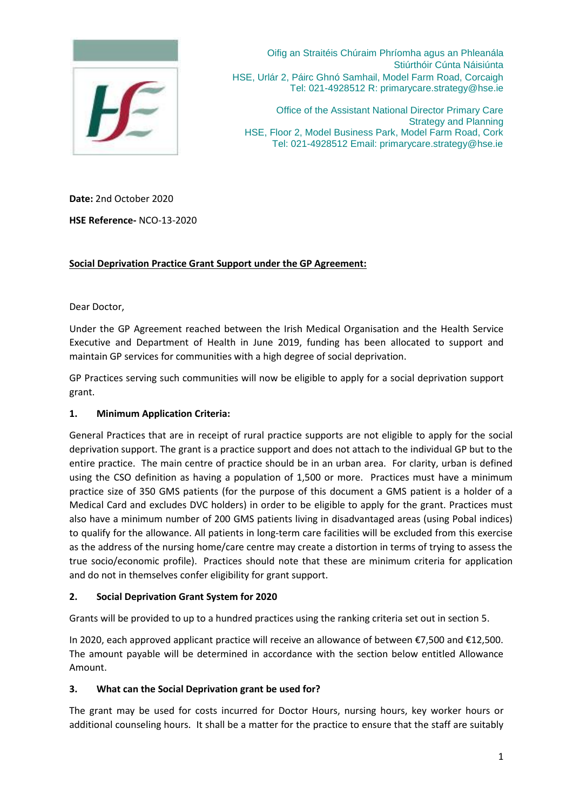

Oifig an Straitéis Chúraim Phríomha agus an Phleanála Stiúrthóir Cúnta Náisiúnta HSE, Urlár 2, Páirc Ghnó Samhail, Model Farm Road, Corcaigh Tel: 021-4928512 R: primarycare.strategy@hse.ie

Office of the Assistant National Director Primary Care Strategy and Planning HSE, Floor 2, Model Business Park, Model Farm Road, Cork Tel: 021-4928512 Email: primarycare.strategy@hse.ie

**Date:** 2nd October 2020

**HSE Reference-** NCO-13-2020

# **Social Deprivation Practice Grant Support under the GP Agreement:**

Dear Doctor,

Under the GP Agreement reached between the Irish Medical Organisation and the Health Service Executive and Department of Health in June 2019, funding has been allocated to support and maintain GP services for communities with a high degree of social deprivation.

GP Practices serving such communities will now be eligible to apply for a social deprivation support grant.

# **1. Minimum Application Criteria:**

General Practices that are in receipt of rural practice supports are not eligible to apply for the social deprivation support. The grant is a practice support and does not attach to the individual GP but to the entire practice. The main centre of practice should be in an urban area. For clarity, urban is defined using the CSO definition as having a population of 1,500 or more. Practices must have a minimum practice size of 350 GMS patients (for the purpose of this document a GMS patient is a holder of a Medical Card and excludes DVC holders) in order to be eligible to apply for the grant. Practices must also have a minimum number of 200 GMS patients living in disadvantaged areas (using Pobal indices) to qualify for the allowance. All patients in long-term care facilities will be excluded from this exercise as the address of the nursing home/care centre may create a distortion in terms of trying to assess the true socio/economic profile). Practices should note that these are minimum criteria for application and do not in themselves confer eligibility for grant support.

## **2. Social Deprivation Grant System for 2020**

Grants will be provided to up to a hundred practices using the ranking criteria set out in section 5.

In 2020, each approved applicant practice will receive an allowance of between €7,500 and €12,500. The amount payable will be determined in accordance with the section below entitled Allowance Amount.

## **3. What can the Social Deprivation grant be used for?**

The grant may be used for costs incurred for Doctor Hours, nursing hours, key worker hours or additional counseling hours. It shall be a matter for the practice to ensure that the staff are suitably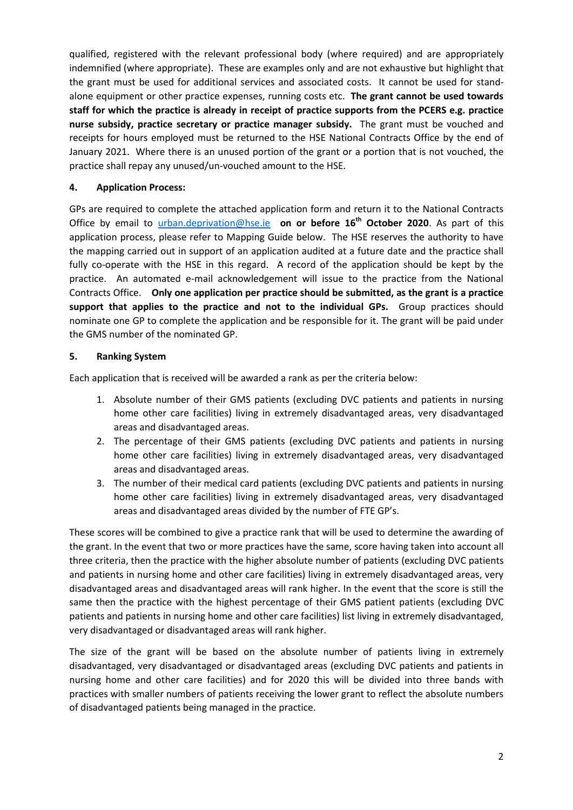qualified, registered with the relevant professional body (where required) and are appropriately indemnified (where appropriate). These are examples only and are not exhaustive but highlight that the grant must be used for additional services and associated costs. It cannot be used for standalone equipment or other practice expenses, running costs etc. **The grant cannot be used towards staff for which the practice is already in receipt of practice supports from the PCERS e.g. practice nurse subsidy, practice secretary or practice manager subsidy.** The grant must be vouched and receipts for hours employed must be returned to the HSE National Contracts Office by the end of January 2021. Where there is an unused portion of the grant or a portion that is not vouched, the practice shall repay any unused/un-vouched amount to the HSE.

# **4. Application Process:**

GPs are required to complete the attached application form and return it to the National Contracts Office by email to [urban.deprivation@hse.ie](mailto:urban.deprivation@hse.ie) **on or before 16th October 2020**. As part of this application process, please refer to Mapping Guide below. The HSE reserves the authority to have the mapping carried out in support of an application audited at a future date and the practice shall fully co-operate with the HSE in this regard. A record of the application should be kept by the practice. An automated e-mail acknowledgement will issue to the practice from the National Contracts Office. **Only one application per practice should be submitted, as the grant is a practice support that applies to the practice and not to the individual GPs.** Group practices should nominate one GP to complete the application and be responsible for it. The grant will be paid under the GMS number of the nominated GP.

# **5. Ranking System**

Each application that is received will be awarded a rank as per the criteria below:

- 1. Absolute number of their GMS patients (excluding DVC patients and patients in nursing home other care facilities) living in extremely disadvantaged areas, very disadvantaged areas and disadvantaged areas.
- 2. The percentage of their GMS patients (excluding DVC patients and patients in nursing home other care facilities) living in extremely disadvantaged areas, very disadvantaged areas and disadvantaged areas.
- 3. The number of their medical card patients (excluding DVC patients and patients in nursing home other care facilities) living in extremely disadvantaged areas, very disadvantaged areas and disadvantaged areas divided by the number of FTE GP's.

These scores will be combined to give a practice rank that will be used to determine the awarding of the grant. In the event that two or more practices have the same, score having taken into account all three criteria, then the practice with the higher absolute number of patients (excluding DVC patients and patients in nursing home and other care facilities) living in extremely disadvantaged areas, very disadvantaged areas and disadvantaged areas will rank higher. In the event that the score is still the same then the practice with the highest percentage of their GMS patient patients (excluding DVC patients and patients in nursing home and other care facilities) list living in extremely disadvantaged, very disadvantaged or disadvantaged areas will rank higher.

The size of the grant will be based on the absolute number of patients living in extremely disadvantaged, very disadvantaged or disadvantaged areas (excluding DVC patients and patients in nursing home and other care facilities) and for 2020 this will be divided into three bands with practices with smaller numbers of patients receiving the lower grant to reflect the absolute numbers of disadvantaged patients being managed in the practice.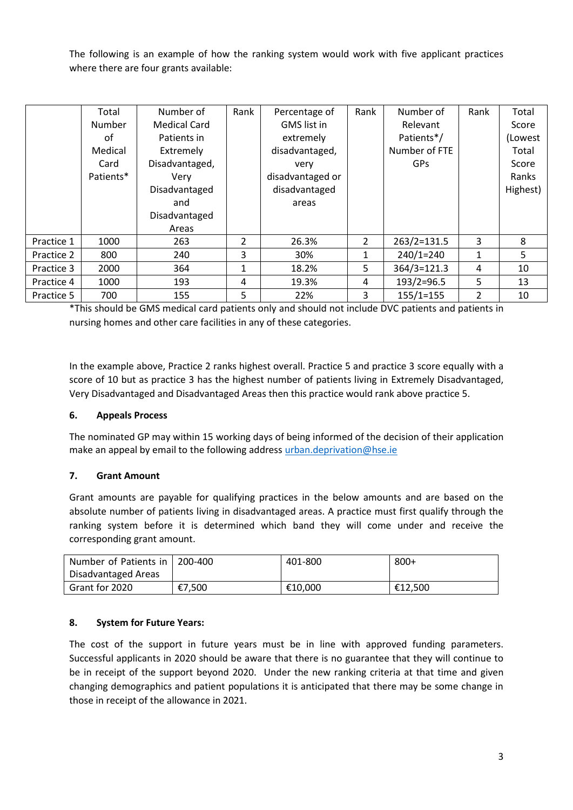The following is an example of how the ranking system would work with five applicant practices where there are four grants available:

|            | Total     | Number of           | Rank           | Percentage of      | Rank           | Number of     | Rank | Total    |
|------------|-----------|---------------------|----------------|--------------------|----------------|---------------|------|----------|
|            | Number    | <b>Medical Card</b> |                | <b>GMS</b> list in |                | Relevant      |      | Score    |
|            | οf        | Patients in         |                | extremely          |                | Patients*/    |      | (Lowest  |
|            | Medical   | Extremely           |                | disadvantaged,     |                | Number of FTE |      | Total    |
|            | Card      | Disadvantaged,      |                | very               |                | GPs           |      | Score    |
|            | Patients* | Very                |                | disadvantaged or   |                |               |      | Ranks    |
|            |           | Disadvantaged       |                | disadvantaged      |                |               |      | Highest) |
|            |           | and                 |                | areas              |                |               |      |          |
|            |           | Disadvantaged       |                |                    |                |               |      |          |
|            |           | Areas               |                |                    |                |               |      |          |
| Practice 1 | 1000      | 263                 | $\overline{2}$ | 26.3%              | $\overline{2}$ | 263/2=131.5   | 3    | 8        |
| Practice 2 | 800       | 240                 | 3              | 30%                | 1              | $240/1=240$   | 1    | 5        |
| Practice 3 | 2000      | 364                 | 1              | 18.2%              | 5              | 364/3=121.3   | 4    | 10       |
| Practice 4 | 1000      | 193                 | 4              | 19.3%              | 4              | $193/2=96.5$  | 5.   | 13       |
| Practice 5 | 700       | 155                 | 5              | 22%                | 3              | $155/1=155$   | 2    | 10       |

\*This should be GMS medical card patients only and should not include DVC patients and patients in nursing homes and other care facilities in any of these categories.

In the example above, Practice 2 ranks highest overall. Practice 5 and practice 3 score equally with a score of 10 but as practice 3 has the highest number of patients living in Extremely Disadvantaged, Very Disadvantaged and Disadvantaged Areas then this practice would rank above practice 5.

## **6. Appeals Process**

The nominated GP may within 15 working days of being informed of the decision of their application make an appeal by email to the following address [urban.deprivation@hse.ie](mailto:urban.deprivation@hse.ie)

## **7. Grant Amount**

Grant amounts are payable for qualifying practices in the below amounts and are based on the absolute number of patients living in disadvantaged areas. A practice must first qualify through the ranking system before it is determined which band they will come under and receive the corresponding grant amount.

| Number of Patients in   200-400 |        | 401-800 | $800+$  |
|---------------------------------|--------|---------|---------|
| Disadvantaged Areas             |        |         |         |
| Grant for 2020                  | €7,500 | €10.000 | €12,500 |

# **8. System for Future Years:**

The cost of the support in future years must be in line with approved funding parameters. Successful applicants in 2020 should be aware that there is no guarantee that they will continue to be in receipt of the support beyond 2020. Under the new ranking criteria at that time and given changing demographics and patient populations it is anticipated that there may be some change in those in receipt of the allowance in 2021.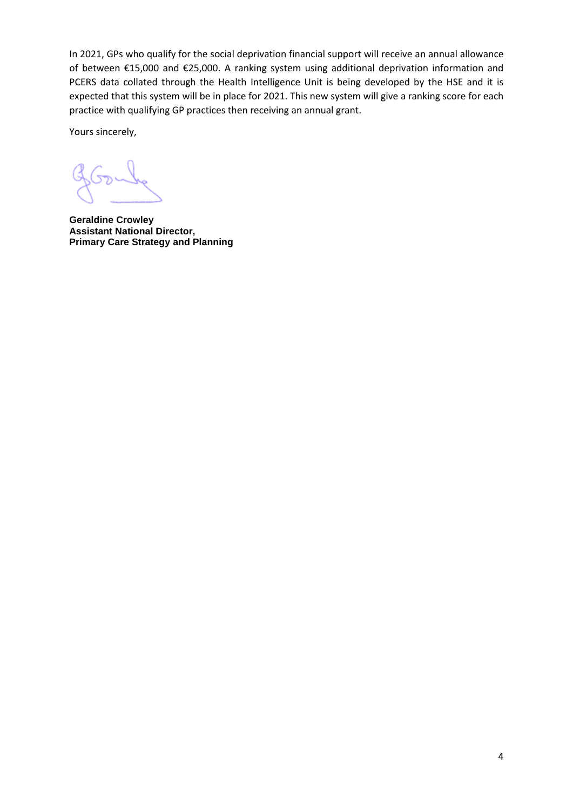In 2021, GPs who qualify for the social deprivation financial support will receive an annual allowance of between €15,000 and €25,000. A ranking system using additional deprivation information and PCERS data collated through the Health Intelligence Unit is being developed by the HSE and it is expected that this system will be in place for 2021. This new system will give a ranking score for each practice with qualifying GP practices then receiving an annual grant.

Yours sincerely,

**Geraldine Crowley Assistant National Director, Primary Care Strategy and Planning**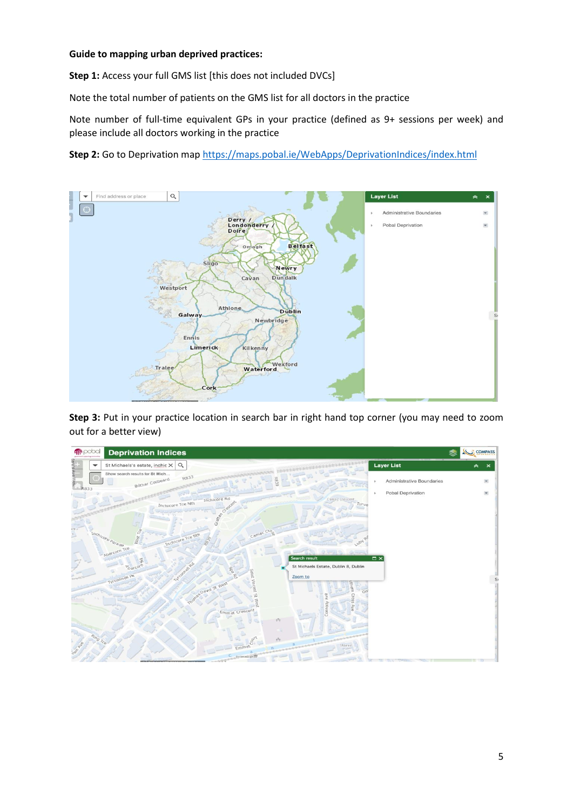## **Guide to mapping urban deprived practices:**

**Step 1:** Access your full GMS list [this does not included DVCs]

Note the total number of patients on the GMS list for all doctors in the practice

Note number of full-time equivalent GPs in your practice (defined as 9+ sessions per week) and please include all doctors working in the practice

**Step 2:** Go to Deprivation ma[p https://maps.pobal.ie/WebApps/DeprivationIndices/index.html](https://maps.pobal.ie/WebApps/DeprivationIndices/index.html)



**Step 3:** Put in your practice location in search bar in right hand top corner (you may need to zoom out for a better view)

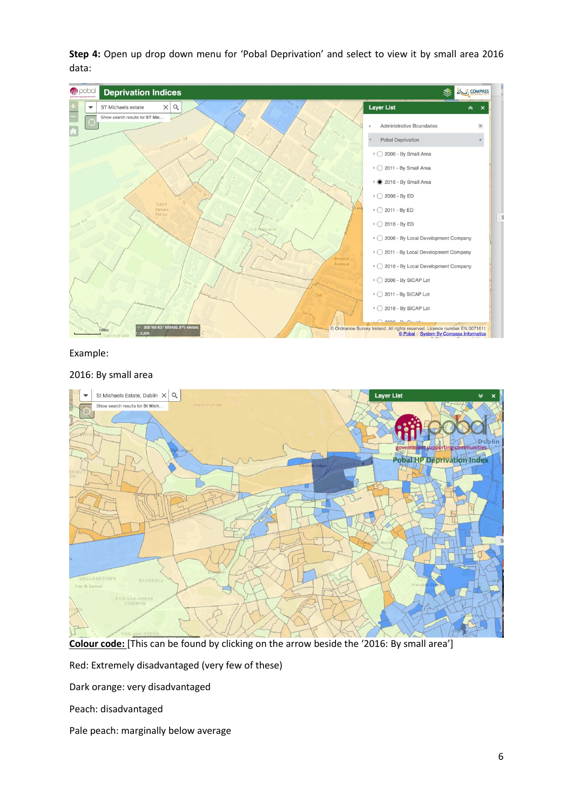**Step 4:** Open up drop down menu for 'Pobal Deprivation' and select to view it by small area 2016 data:



#### Example:

# St Michaels Estate, Dublin  $\times$  Q Layer List Show search results for St Mich. **Dublin** Pobal HP Deprivation Index LANSTOWN Fox & Ger

## 2016: By small area

**Colour code:** [This can be found by clicking on the arrow beside the '2016: By small area']

Red: Extremely disadvantaged (very few of these)

Dark orange: very disadvantaged

Peach: disadvantaged

Pale peach: marginally below average